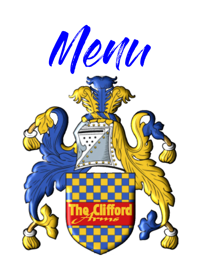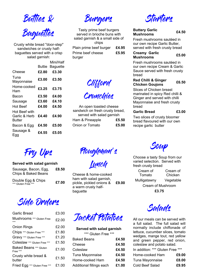

Crusty white bread "door-step" sandwiches or crusty halfbaguettes served with a crisp salad garnish:

|                                          | Buttie | Mini/Half<br>Baguette |
|------------------------------------------|--------|-----------------------|
| Cheese                                   | £2.80  | £3.30                 |
| Tuna<br>Mayonnaise                       | £3.00  | £3.50                 |
| Home-cooked<br>Ham                       | £3.25  | £3.75                 |
| Bacon                                    | £3.50  | £4.00                 |
| Sausage                                  | £3.60  | £4.10                 |
| <b>Hot Beef</b>                          | £4.00  | £4.50                 |
| Hot Beef with<br>Garlic & Herb<br>Butter | £4.40  | £4.90                 |
| Bacon & Egg                              | £4.50  | £5.00                 |
| Sausage &<br>⊨gg                         | £4.55  | £5.05                 |

Burgers

Tasty prime beef burgers served in brioche buns with salad garnish & a small side of chips Plain prime beef burger £4.95 Prime beef cheese burger £5.95

Clifford

Crunchies

An open toasted cheese sandwich on fresh crusty bread, served with salad garnish Ham & Pineapple **£5.50** Onion or Tomato **£5.00** 

**Starters** 

#### Buttery Garlic Buttery Garlic<br>Mushrooms 64.50

Fresh mushrooms sautéed in our own recipe Garlic Butter, served with fresh crusty bread

#### Creamy Garlic Mushrooms £5.00

Fresh mushrooms sautéed in our own recipe Cream & Garlic Sauce served with fresh crusty bread

### Red Chilli & Ginger Red Chilli & Olliger **E**6.50

Slices of Chicken breast marinated in spicy Red chilli & Ginger and served with chilli Mayonnaise and fresh crusty bread

### Garlic Bread **£3.00**

Two slices of crusty bloomer bread flavoured with our own recipe garlic butter

Fry Ups

### Served with salad garnish

| Sausage, Bacon, Egg,<br><b>Chips &amp; Baked Beans</b> | £8.50 |
|--------------------------------------------------------|-------|
| $D_1$ . Isla $D_2$ $D_3$ $D_4$ $D_5$                   |       |

Double Egg & Chips DOUDIE EGG & CHIPS  $\begin{array}{cc} \text{E7.00} \\ \text{E7.00} \end{array}$ 

Side Orders

| <b>Garlic Bread</b>                       | £3.00 |
|-------------------------------------------|-------|
| Mushrooms *** Gluten Free                 | £2.00 |
| <b>Onion Rings</b>                        | £2.00 |
| Chips *** Gluten Free ***                 | £1.80 |
| Gravy *** Gluten Free ***                 | £1.20 |
| Coleslaw *** Gluten Free ***              | £1.50 |
| <b>Baked Beans *** Gluten</b><br>Free *** | £1.00 |
| Crusty white bread &<br>butter            | £1.50 |
| Fried Egg *** Gluten Free ***             | £1.00 |

Ploughman's

Luncy

Cheese & home-cooked ham with salad garnish, pickle, pickled onions & a warm crusty halfbaguette £9.00



Choose a tasty Soup from our varied selection. Served with fresh crusty bread

Cream of Tomato Cream of Chicken Mulligatawny Vegetable Cream of Mushroom £3.75



| Served with salad garnish |       |
|---------------------------|-------|
| *** Gluten Free ***       |       |
| Baked Beans               | £4.50 |
| Cheese                    | £4.50 |
| Coleslaw                  | £4.50 |
| Tuna Mayonnaise           | £4.50 |
| Home-cooked Ham           | £4.50 |
| Additional fillings each  | £1.00 |
|                           |       |



All our meals can be served with a full salad. The full salad will normally include chiffonade of lettuce, cucumber slices, tomato wedges, mange tout, red yellow and green pepper, red onion, coleslaw and potato salad.

| In addition: *** Gluten Free *** |  |  |
|----------------------------------|--|--|
|                                  |  |  |

| Home-cooked Ham | £9.00 |
|-----------------|-------|
| Tuna Mayonnaise | £8.00 |
| Cold Beef Salad | £9.95 |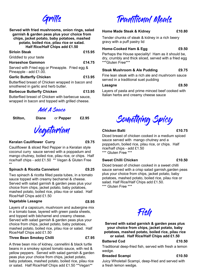# Grills

| Served with fried mushrooms, onion rings, salad<br>garnish & garden peas plus your choice from<br>chips, jacket potato, baby potatoes, mashed<br>potato, boiled rice, pilau rice or salad.<br>Half Rice/Half Chips add £1.50 |        |  |
|------------------------------------------------------------------------------------------------------------------------------------------------------------------------------------------------------------------------------|--------|--|
| <b>Sirloin Steak</b>                                                                                                                                                                                                         | £15.95 |  |
| Griddled to your taste                                                                                                                                                                                                       |        |  |
| <b>Horseshoe Gammon</b>                                                                                                                                                                                                      | £14.75 |  |
| Served with Fried egg or Pineapple. Fried egg &<br>Pineapple - add £1.00.                                                                                                                                                    |        |  |
| <b>Garlic Butterfly Chicken</b>                                                                                                                                                                                              | £13.95 |  |

Butterflied breast of Chicken wrapped in bacon and smothered in garlic and herb butter.

### Barbecue Butterfly Chicken **E13.95**

Butterflied breast of Chicken with barbecue sauce, wrapped in bacon and topped with grilled cheese.

Add A Sauce

Stilton, Diane or Pepper £2.95

Vegetarian

### Keralan Cauliflower Curry **E9.75**

Cauliflower & sliced Red Pepper in a Keralan style coconut curry sauce served with a poppadum and mango chutney, boiled rice, pilau rice, or chips. Half rice/half chips - add £1.50 \*\* Vegan & Gluten Free \*\*

## Spinach & Ricotta Canneloni **E9.25**

Two spinach & ricotta filled pasta tubes, in a tomato sauce topped with creamy bechamel & cheese. Served with salad garnish & garden peas plus your choice from chips, jacket potato, baby potatoes, mashed potato, boiled rice, pilau rice or salad. Half Rice/Half Chips add £1.50

## Vegetable Lasagne **E8.95**

Layers of a capsicum, mushroom and aubergine mix in a tomato base, layered with green pasta sheets, and topped with béchamel and creamy cheese. Served with salad garnish & garden peas plus your choice from chips, jacket potato, baby potatoes, mashed potato, boiled rice, pilau rice or salad. Half Rice/Half Chips add £1.50

### Three Bean Smokey Chilli **ET.95**

A three bean mix of kidney, cannellini & black turtle beans in a smokey spiced tomato sauce, with red & yellow peppers. Served with salad garnish & garden peas plus your choice from chips, jacket potato, baby potatoes, mashed potato, boiled rice, pilau rice or salad. Half Rice/Half Chips add £1.50 \*\*Vegan\*\*

# Traditional Meals

### Home Made Steak & Kidney **E10.80**

Tender chunks of steak & kidney in a rich beery gravy with a puff pastry lid

### Home-Cooked Ham & Egg  $£9.50$

Perhaps the House speciality! Ham as it should be, dry, crumbly and thick sliced, served with a fried egg \*\*\*Gluten Free\*\*\*

### Steak Mushroom & Ale Pudding E9.75

Fine lean steak with a rich ale and mushroom sauce served in a traditional suet pudding

### Lasagne **E8.50**

Layers of pasta and prime minced beef cooked with Italian herbs and creamy cheese sauce



# Chicken Balti **E10.75**

Diced breast of chicken cooked in a medium spiced sauce served with mango chutney and a poppadum, boiled rice, pilau rice, or chips. Half rice/half chips - add £1.50 \*\*\* Gluten Free \*\*\*

### Sweet Chilli Chicken **E10.50**

Diced breast of chicken cooked in a sweet chilli sauce served with a crisp salad garnish,garden peas plus your choice from chips, jacket potato, baby potatoes, mashed potato, boiled rice, pilau rice or salad. Half Rice/Half Chips add £1.50. \*\*\* Gluten Free \*\*\*

# Fish

Served with salad garnish & garden peas plus your choice from chips, jacket potato, baby potatoes, mashed potato, boiled rice, pilau rice or salad. Half Rice/Half Chips add £1.50

### Battered Cod **E10.50**

Traditional deep-fried fish, served with fresh a lemon wedge.

### Breaded Scampi **E10.50**

Juicy Wholetail Scampi, deep-fried and served with a fresh lemon wedge.